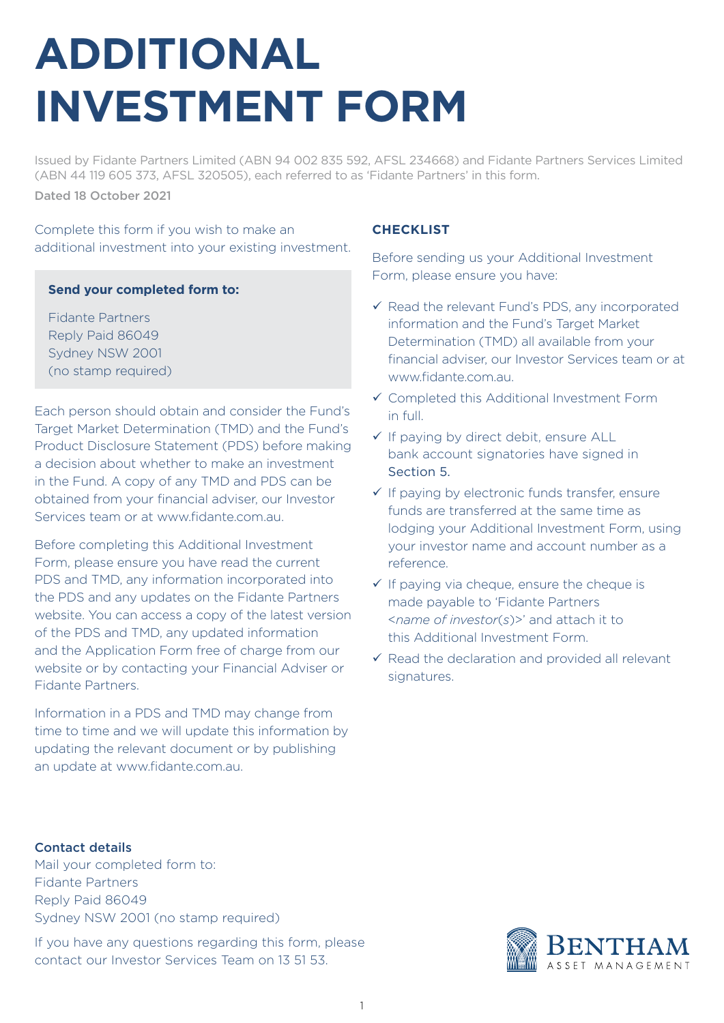# **ADDITIONAL INVESTMENT FORM**

Issued by Fidante Partners Limited (ABN 94 002 835 592, AFSL 234668) and Fidante Partners Services Limited (ABN 44 119 605 373, AFSL 320505), each referred to as 'Fidante Partners' in this form. Dated 18 October 2021

Complete this form if you wish to make an additional investment into your existing investment.

#### **Send your completed form to:**

Fidante Partners Reply Paid 86049 Sydney NSW 2001 (no stamp required)

Each person should obtain and consider the Fund's Target Market Determination (TMD) and the Fund's Product Disclosure Statement (PDS) before making a decision about whether to make an investment in the Fund. A copy of any TMD and PDS can be obtained from your financial adviser, our Investor Services team or at www.fidante.com.au.

Before completing this Additional Investment Form, please ensure you have read the current PDS and TMD, any information incorporated into the PDS and any updates on the Fidante Partners website. You can access a copy of the latest version of the PDS and TMD, any updated information and the Application Form free of charge from our website or by contacting your Financial Adviser or Fidante Partners.

Information in a PDS and TMD may change from time to time and we will update this information by updating the relevant document or by publishing an update at www.fidante.com.au.

#### **CHECKLIST**

Before sending us your Additional Investment Form, please ensure you have:

- $\checkmark$  Read the relevant Fund's PDS, any incorporated information and the Fund's Target Market Determination (TMD) all available from your financial adviser, our Investor Services team or at www.fidante.com.au.
- Completed this Additional Investment Form in full.
- $\checkmark$  If paying by direct debit, ensure ALL bank account signatories have signed in Section 5.
- $\checkmark$  If paying by electronic funds transfer, ensure funds are transferred at the same time as lodging your Additional Investment Form, using your investor name and account number as a reference.
- $\checkmark$  If paying via cheque, ensure the cheque is made payable to 'Fidante Partners <*name of investor*(*s*)>' and attach it to this Additional Investment Form.
- $\checkmark$  Read the declaration and provided all relevant signatures.

#### Contact details

Mail your completed form to: Fidante Partners Reply Paid 86049 Sydney NSW 2001 (no stamp required)

If you have any questions regarding this form, please contact our Investor Services Team on 13 51 53.

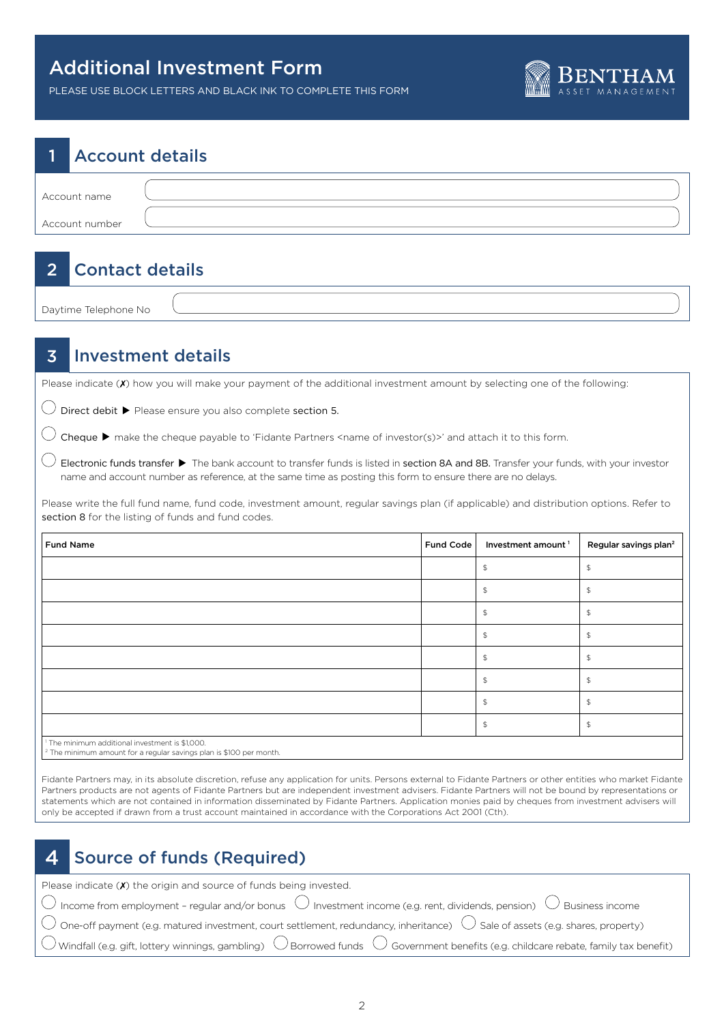

PLEASE USE BLOCK LETTERS AND BLACK INK TO COMPLETE THIS FORM

# 1 Account details Account name Account number

# 2 Contact details

Daytime Telephone No

### 3 Investment details

Please indicate (x) how you will make your payment of the additional investment amount by selecting one of the following:

 $\bigcirc$  Direct debit  $\blacktriangleright$  Please ensure you also complete section 5.

 $\bigcirc$  Cheque  $\blacktriangleright$  make the cheque payable to 'Fidante Partners <name of investor(s)>' and attach it to this form.

 $\bigcirc$  Electronic funds transfer  $\blacktriangleright$  The bank account to transfer funds is listed in section 8A and 8B. Transfer your funds, with your investor name and account number as reference, at the same time as posting this form to ensure there are no delays.

Please write the full fund name, fund code, investment amount, regular savings plan (if applicable) and distribution options. Refer to section 8 for the listing of funds and fund codes.

| Fund Name                                                                                                                                   | Fund Code | Investment amount <sup>1</sup> | Regular savings plan <sup>2</sup> |
|---------------------------------------------------------------------------------------------------------------------------------------------|-----------|--------------------------------|-----------------------------------|
|                                                                                                                                             |           |                                |                                   |
|                                                                                                                                             |           |                                |                                   |
|                                                                                                                                             |           |                                | \$                                |
|                                                                                                                                             |           |                                |                                   |
|                                                                                                                                             |           |                                |                                   |
|                                                                                                                                             |           |                                |                                   |
|                                                                                                                                             |           |                                |                                   |
|                                                                                                                                             |           |                                |                                   |
| <sup>1</sup> The minimum additional investment is \$1,000.<br>$\sqrt{2}$ The minimum amount for a rooular cause of the is $6100$ por month. |           |                                |                                   |

The minimum amount for a regular savings plan is \$100 per month.

Fidante Partners may, in its absolute discretion, refuse any application for units. Persons external to Fidante Partners or other entities who market Fidante Partners products are not agents of Fidante Partners but are independent investment advisers. Fidante Partners will not be bound by representations or statements which are not contained in information disseminated by Fidante Partners. Application monies paid by cheques from investment advisers will only be accepted if drawn from a trust account maintained in accordance with the Corporations Act 2001 (Cth).

# 4 Source of funds (Required)

| Please indicate $(X)$ the origin and source of funds being invested.                                                                                                              |
|-----------------------------------------------------------------------------------------------------------------------------------------------------------------------------------|
| $\overline{\bigcirc}$ Income from employment - regular and/or bonus $\overline{\bigcirc}$ Investment income (e.g. rent, dividends, pension) $\overline{\bigcirc}$ Business income |
| $\bigcirc$ One-off payment (e.g. matured investment, court settlement, redundancy, inheritance) $\bigcirc$ Sale of assets (e.g. shares, property)                                 |
| $\bigcirc$ Windfall (e.g. gift, lottery winnings, gambling) $\bigcirc$ Borrowed funds $\bigcirc$ Government benefits (e.g. childcare rebate, family tax benefit)                  |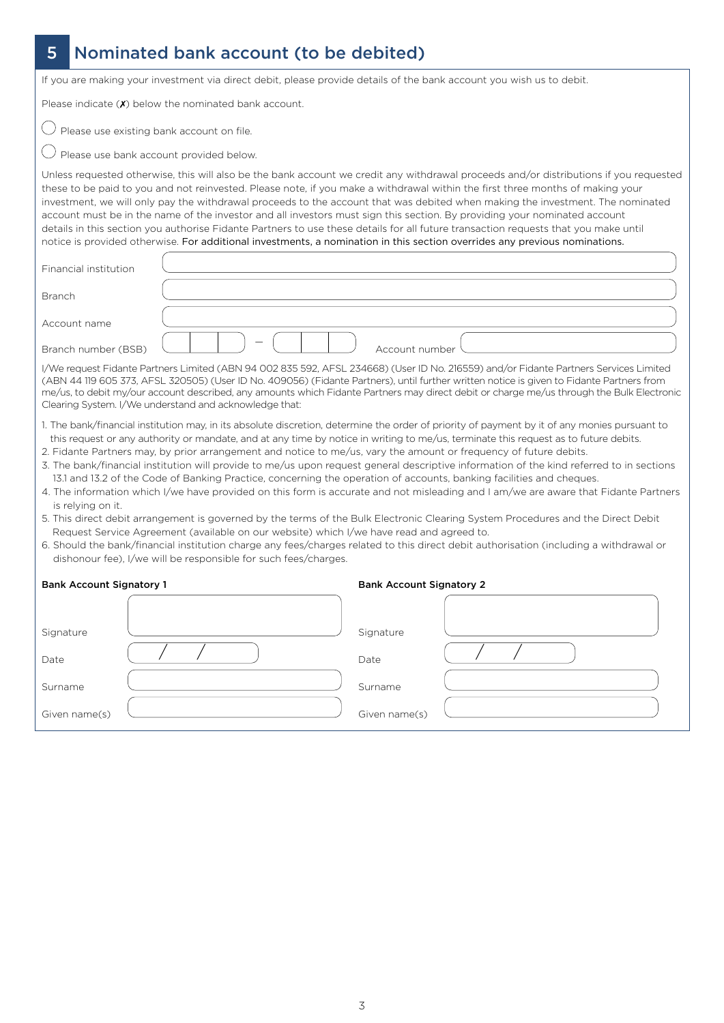# 5 Nominated bank account (to be debited)

If you are making your investment via direct debit, please provide details of the bank account you wish us to debit.

Please indicate  $(X)$  below the nominated bank account.

 $\bigcirc$  Please use existing bank account on file.

 $\bigcirc$  Please use bank account provided below.

Unless requested otherwise, this will also be the bank account we credit any withdrawal proceeds and/or distributions if you requested these to be paid to you and not reinvested. Please note, if you make a withdrawal within the first three months of making your investment, we will only pay the withdrawal proceeds to the account that was debited when making the investment. The nominated account must be in the name of the investor and all investors must sign this section. By providing your nominated account details in this section you authorise Fidante Partners to use these details for all future transaction requests that you make until notice is provided otherwise. For additional investments, a nomination in this section overrides any previous nominations.

| Financial institution |                                                                                                                                                                                                                                                                                                                                                                                                                                                                                                                                                                                                                                                                                                                                                                                                                       |
|-----------------------|-----------------------------------------------------------------------------------------------------------------------------------------------------------------------------------------------------------------------------------------------------------------------------------------------------------------------------------------------------------------------------------------------------------------------------------------------------------------------------------------------------------------------------------------------------------------------------------------------------------------------------------------------------------------------------------------------------------------------------------------------------------------------------------------------------------------------|
| <b>Branch</b>         |                                                                                                                                                                                                                                                                                                                                                                                                                                                                                                                                                                                                                                                                                                                                                                                                                       |
| Account name          |                                                                                                                                                                                                                                                                                                                                                                                                                                                                                                                                                                                                                                                                                                                                                                                                                       |
| Branch number (BSB)   | Account number                                                                                                                                                                                                                                                                                                                                                                                                                                                                                                                                                                                                                                                                                                                                                                                                        |
|                       | I/We request Fidante Partners Limited (ABN 94 002 835 592, AFSL 234668) (User ID No. 216559) and/or Fidante Partners Services Limited<br>(ABN 44 119 605 373, AFSL 320505) (User ID No. 409056) (Fidante Partners), until further written notice is given to Fidante Partners from<br>me/us, to debit my/our account described, any amounts which Fidante Partners may direct debit or charge me/us through the Bulk Electronic<br>Clearing System. I/We understand and acknowledge that:                                                                                                                                                                                                                                                                                                                             |
| is relying on it.     | 1. The bank/financial institution may, in its absolute discretion, determine the order of priority of payment by it of any monies pursuant to<br>this request or any authority or mandate, and at any time by notice in writing to me/us, terminate this request as to future debits.<br>2. Fidante Partners may, by prior arrangement and notice to me/us, vary the amount or frequency of future debits.<br>3. The bank/financial institution will provide to me/us upon request general descriptive information of the kind referred to in sections<br>13.1 and 13.2 of the Code of Banking Practice, concerning the operation of accounts, banking facilities and cheques.<br>4. The information which I/we have provided on this form is accurate and not misleading and I am/we are aware that Fidante Partners |

- 5. This direct debit arrangement is governed by the terms of the Bulk Electronic Clearing System Procedures and the Direct Debit Request Service Agreement (available on our website) which I/we have read and agreed to.
- 6. Should the bank/financial institution charge any fees/charges related to this direct debit authorisation (including a withdrawal or dishonour fee), I/we will be responsible for such fees/charges.

| <b>Bank Account Signatory 1</b> |  | <b>Bank Account Signatory 2</b> |  |  |
|---------------------------------|--|---------------------------------|--|--|
|                                 |  |                                 |  |  |
| Signature                       |  | Signature                       |  |  |
| Date                            |  | Date                            |  |  |
| Surname                         |  | Surname                         |  |  |
| Given name(s)                   |  | Given name(s)                   |  |  |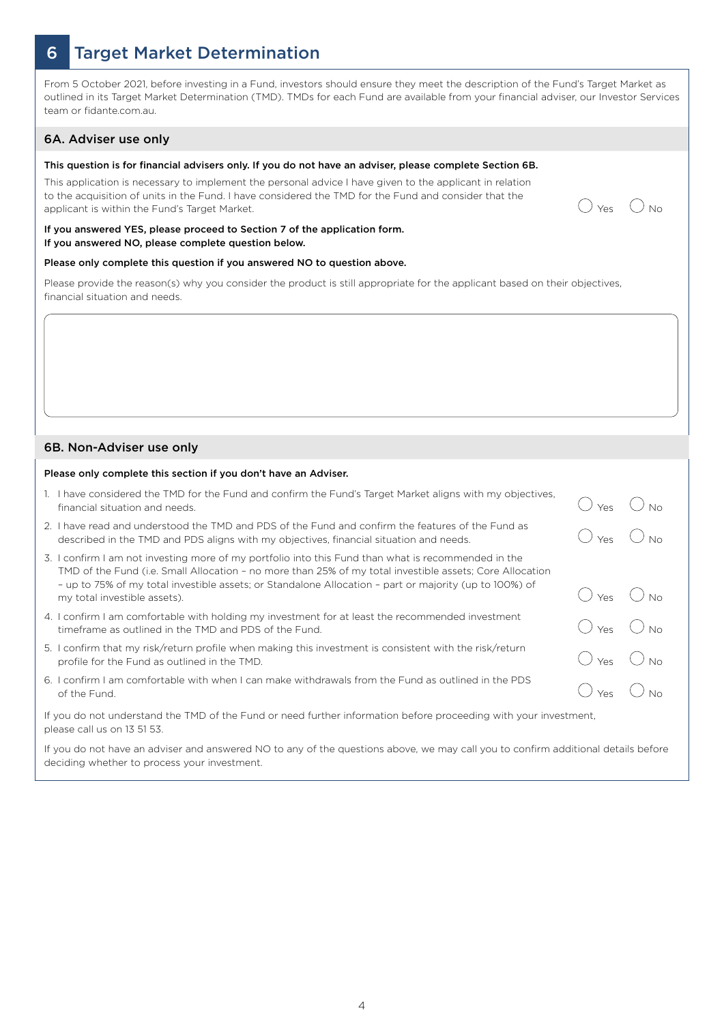## 6 Target Market Determination

From 5 October 2021, before investing in a Fund, investors should ensure they meet the description of the Fund's Target Market as outlined in its Target Market Determination (TMD). TMDs for each Fund are available from your financial adviser, our Investor Services team or fidante.com.au.

#### 6A. Adviser use only

#### This question is for financial advisers only. If you do not have an adviser, please complete Section 6B.

This application is necessary to implement the personal advice I have given to the applicant in relation to the acquisition of units in the Fund. I have considered the TMD for the Fund and consider that the to the acquisition of units in the Fund. I have considered the TMD for the Fund and consider that the  $\bigcirc_{\text{Yes}} \bigcirc_{\text{No}}$ 



#### If you answered YES, please proceed to Section 7 of the application form. If you answered NO, please complete question below.

#### Please only complete this question if you answered NO to question above.

Please provide the reason(s) why you consider the product is still appropriate for the applicant based on their objectives, financial situation and needs.

#### 6B. Non-Adviser use only

#### Please only complete this section if you don't have an Adviser.

|                                                                                                                                                 | 1. I have considered the TMD for the Fund and confirm the Fund's Target Market aligns with my objectives,<br>financial situation and needs.                                                                                                                                                                                                          |     |  |
|-------------------------------------------------------------------------------------------------------------------------------------------------|------------------------------------------------------------------------------------------------------------------------------------------------------------------------------------------------------------------------------------------------------------------------------------------------------------------------------------------------------|-----|--|
| 2. I                                                                                                                                            | I have read and understood the TMD and PDS of the Fund and confirm the features of the Fund as<br>described in the TMD and PDS aligns with my objectives, financial situation and needs.                                                                                                                                                             | Yes |  |
| 3. I                                                                                                                                            | confirm I am not investing more of my portfolio into this Fund than what is recommended in the<br>TMD of the Fund (i.e. Small Allocation - no more than 25% of my total investible assets; Core Allocation<br>- up to 75% of my total investible assets; or Standalone Allocation - part or majority (up to 100%) of<br>my total investible assets). | Yes |  |
|                                                                                                                                                 | 4. I confirm I am comfortable with holding my investment for at least the recommended investment<br>timeframe as outlined in the TMD and PDS of the Fund.                                                                                                                                                                                            | Yes |  |
|                                                                                                                                                 | 5. I confirm that my risk/return profile when making this investment is consistent with the risk/return<br>profile for the Fund as outlined in the TMD.                                                                                                                                                                                              | Yes |  |
| . 6. I                                                                                                                                          | confirm I am comfortable with when I can make withdrawals from the Fund as outlined in the PDS<br>of the Fund.                                                                                                                                                                                                                                       | Yes |  |
| If you do not understand the TMD of the Fund or need further information before proceeding with your investment,<br>please call us on 13 51 53. |                                                                                                                                                                                                                                                                                                                                                      |     |  |

If you do not have an adviser and answered NO to any of the questions above, we may call you to confirm additional details before deciding whether to process your investment.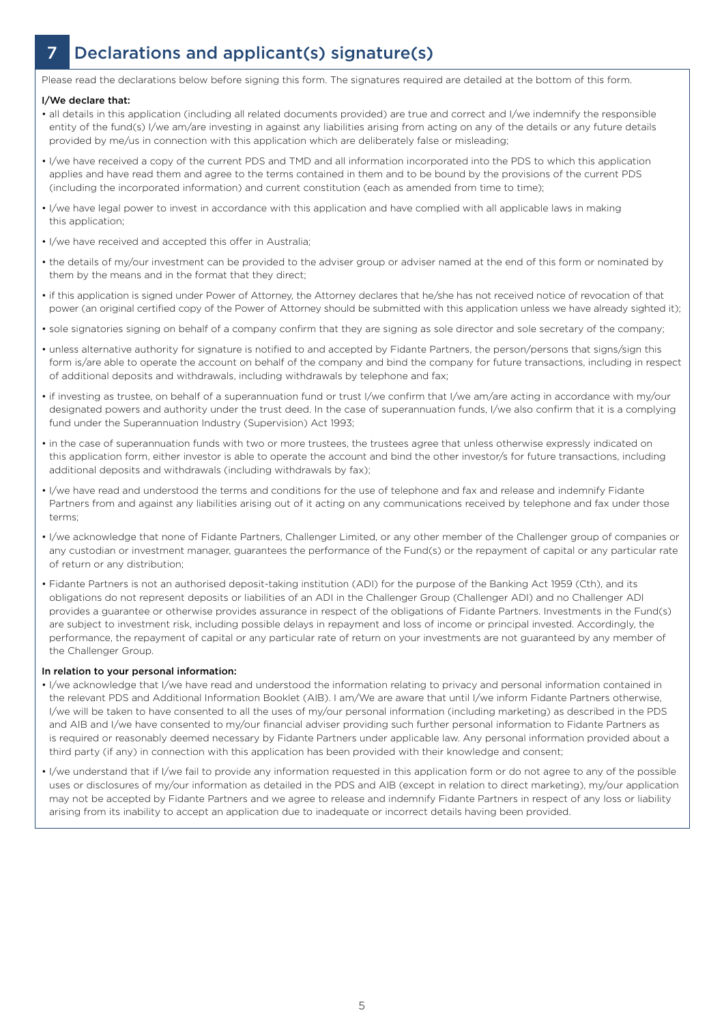# 7 Declarations and applicant(s) signature(s)

Please read the declarations below before signing this form. The signatures required are detailed at the bottom of this form.

#### I/We declare that:

- all details in this application (including all related documents provided) are true and correct and I/we indemnify the responsible entity of the fund(s) I/we am/are investing in against any liabilities arising from acting on any of the details or any future details provided by me/us in connection with this application which are deliberately false or misleading;
- I/we have received a copy of the current PDS and TMD and all information incorporated into the PDS to which this application applies and have read them and agree to the terms contained in them and to be bound by the provisions of the current PDS (including the incorporated information) and current constitution (each as amended from time to time);
- I/we have legal power to invest in accordance with this application and have complied with all applicable laws in making this application;
- I/we have received and accepted this offer in Australia;
- the details of my/our investment can be provided to the adviser group or adviser named at the end of this form or nominated by them by the means and in the format that they direct;
- if this application is signed under Power of Attorney, the Attorney declares that he/she has not received notice of revocation of that power (an original certified copy of the Power of Attorney should be submitted with this application unless we have already sighted it);
- sole signatories signing on behalf of a company confirm that they are signing as sole director and sole secretary of the company;
- unless alternative authority for signature is notified to and accepted by Fidante Partners, the person/persons that signs/sign this form is/are able to operate the account on behalf of the company and bind the company for future transactions, including in respect of additional deposits and withdrawals, including withdrawals by telephone and fax;
- if investing as trustee, on behalf of a superannuation fund or trust I/we confirm that I/we am/are acting in accordance with my/our designated powers and authority under the trust deed. In the case of superannuation funds, I/we also confirm that it is a complying fund under the Superannuation Industry (Supervision) Act 1993;
- in the case of superannuation funds with two or more trustees, the trustees agree that unless otherwise expressly indicated on this application form, either investor is able to operate the account and bind the other investor/s for future transactions, including additional deposits and withdrawals (including withdrawals by fax);
- I/we have read and understood the terms and conditions for the use of telephone and fax and release and indemnify Fidante Partners from and against any liabilities arising out of it acting on any communications received by telephone and fax under those terms;
- I/we acknowledge that none of Fidante Partners, Challenger Limited, or any other member of the Challenger group of companies or any custodian or investment manager, guarantees the performance of the Fund(s) or the repayment of capital or any particular rate of return or any distribution;
- Fidante Partners is not an authorised deposit-taking institution (ADI) for the purpose of the Banking Act 1959 (Cth), and its obligations do not represent deposits or liabilities of an ADI in the Challenger Group (Challenger ADI) and no Challenger ADI provides a guarantee or otherwise provides assurance in respect of the obligations of Fidante Partners. Investments in the Fund(s) are subject to investment risk, including possible delays in repayment and loss of income or principal invested. Accordingly, the performance, the repayment of capital or any particular rate of return on your investments are not guaranteed by any member of the Challenger Group.

#### In relation to your personal information:

- I/we acknowledge that I/we have read and understood the information relating to privacy and personal information contained in the relevant PDS and Additional Information Booklet (AIB). I am/We are aware that until I/we inform Fidante Partners otherwise, I/we will be taken to have consented to all the uses of my/our personal information (including marketing) as described in the PDS and AIB and I/we have consented to my/our financial adviser providing such further personal information to Fidante Partners as is required or reasonably deemed necessary by Fidante Partners under applicable law. Any personal information provided about a third party (if any) in connection with this application has been provided with their knowledge and consent;
- I/we understand that if I/we fail to provide any information requested in this application form or do not agree to any of the possible uses or disclosures of my/our information as detailed in the PDS and AIB (except in relation to direct marketing), my/our application may not be accepted by Fidante Partners and we agree to release and indemnify Fidante Partners in respect of any loss or liability arising from its inability to accept an application due to inadequate or incorrect details having been provided.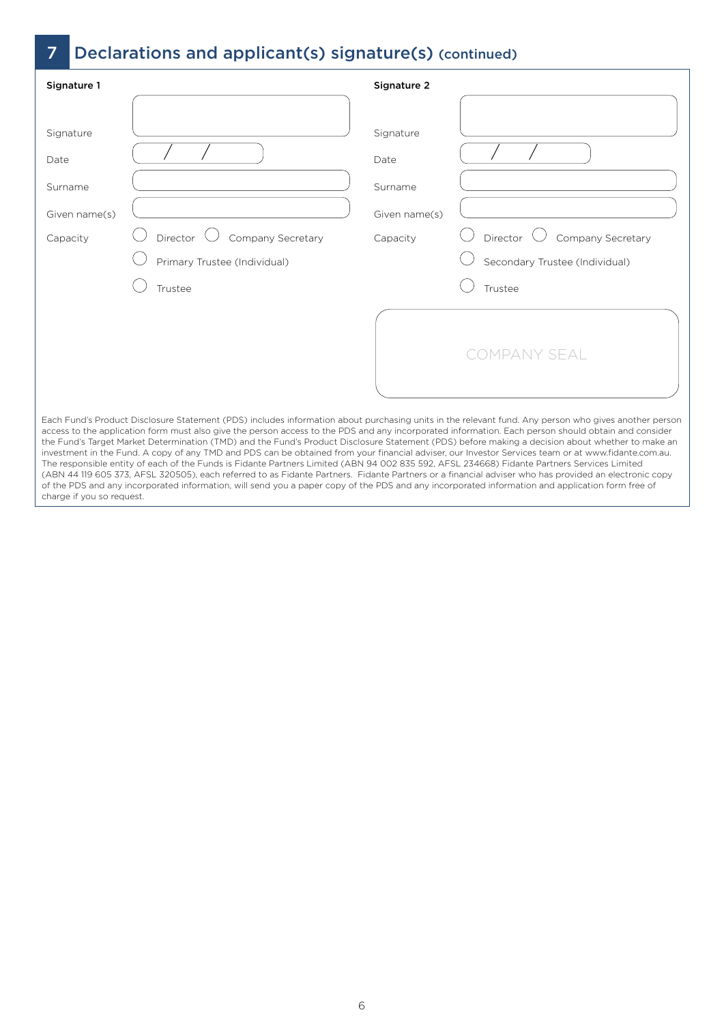# 7 Declarations and applicant(s) signature(s) (continued)

| Signature 1                                               |                                                                                                                                                                                                                                                                                                                                                                                                                                                                                                                                                                                                                                                                                                                                                                                 | Signature 2                                               |                                                                 |
|-----------------------------------------------------------|---------------------------------------------------------------------------------------------------------------------------------------------------------------------------------------------------------------------------------------------------------------------------------------------------------------------------------------------------------------------------------------------------------------------------------------------------------------------------------------------------------------------------------------------------------------------------------------------------------------------------------------------------------------------------------------------------------------------------------------------------------------------------------|-----------------------------------------------------------|-----------------------------------------------------------------|
| Signature<br>Date<br>Surname<br>Given name(s)<br>Capacity | Director<br>Company Secretary<br>Primary Trustee (Individual)                                                                                                                                                                                                                                                                                                                                                                                                                                                                                                                                                                                                                                                                                                                   | Signature<br>Date<br>Surname<br>Given name(s)<br>Capacity | Company Secretary<br>Director<br>Secondary Trustee (Individual) |
|                                                           | Trustee<br>Each Fund's Product Disclosure Statement (PDS) includes information about purchasing units in the relevant fund. Any person who gives another person<br>access to the application form must also give the person access to the PDS and any incorporated information. Each person should obtain and consider<br>the Fund's Target Market Determination (TMD) and the Fund's Product Disclosure Statement (PDS) before making a decision about whether to make an<br>investment in the Fund. A copy of any TMD and PDS can be obtained from your financial adviser, our Investor Services team or at www.fidante.com.au.<br>The responsible entity of each of the Funds is Eidante Partners Limited (ARN 94 002 835 592 AFSL 234668) Eidante Partners Services Limited |                                                           | Trustee<br><b>COMPANY SEAL</b>                                  |

The responsible entity of each of the Funds is Fidante Partners Limited (ABN 94 002 835 592, AFSL 234668) Fidante Partners Services Limited (ABN 44 119 605 373, AFSL 320505), each referred to as Fidante Partners. Fidante Partners or a financial adviser who has provided an electronic copy of the PDS and any incorporated information, will send you a paper copy of the PDS and any incorporated information and application form free of charge if you so request.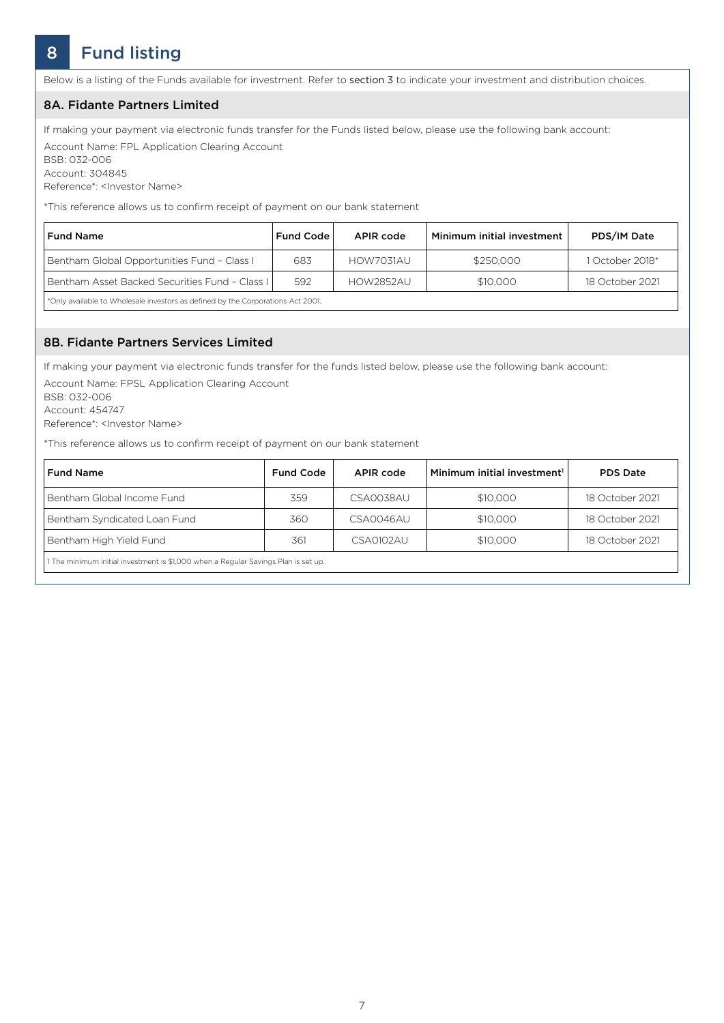# 8 Fund listing

Below is a listing of the Funds available for investment. Refer to section 3 to indicate your investment and distribution choices.

#### 8A. Fidante Partners Limited

If making your payment via electronic funds transfer for the Funds listed below, please use the following bank account:

Account Name: FPL Application Clearing Account BSB: 032-006 Account: 304845

Reference\*: <Investor Name>

\*This reference allows us to confirm receipt of payment on our bank statement

| <b>Fund Name</b>                                                                                                                                                                                                                                                                              | <b>Fund Code</b> | APIR code        | Minimum initial investment | PDS/IM Date     |
|-----------------------------------------------------------------------------------------------------------------------------------------------------------------------------------------------------------------------------------------------------------------------------------------------|------------------|------------------|----------------------------|-----------------|
| Bentham Global Opportunities Fund - Class I                                                                                                                                                                                                                                                   | 683              | HOW7031AU        | \$250,000                  | October 2018*   |
| Bentham Asset Backed Securities Fund - Class L                                                                                                                                                                                                                                                | 592              | <b>HOW2852AU</b> | \$10,000                   | 18 October 2021 |
| $\frac{1}{2}$ and $\frac{1}{2}$ and $\frac{1}{2}$ and $\frac{1}{2}$ and $\frac{1}{2}$ and $\frac{1}{2}$ and $\frac{1}{2}$ and $\frac{1}{2}$ and $\frac{1}{2}$ and $\frac{1}{2}$ and $\frac{1}{2}$ and $\frac{1}{2}$ and $\frac{1}{2}$ and $\frac{1}{2}$ and $\frac{1}{2}$ and $\frac{1}{2}$ a |                  |                  |                            |                 |

\*Only available to Wholesale investors as defined by the Corporations Act 2001.

#### 8B. Fidante Partners Services Limited

If making your payment via electronic funds transfer for the funds listed below, please use the following bank account:

Account Name: FPSL Application Clearing Account BSB: 032-006 Account: 454747 Reference\*: <Investor Name>

\*This reference allows us to confirm receipt of payment on our bank statement

| <b>Fund Name</b>                                                                   | <b>Fund Code</b> | APIR code | Minimum initial investment <sup>1</sup> | <b>PDS Date</b> |
|------------------------------------------------------------------------------------|------------------|-----------|-----------------------------------------|-----------------|
| Bentham Global Income Fund                                                         | 359              | CSA0038AU | \$10,000                                | 18 October 2021 |
| Bentham Syndicated Loan Fund                                                       | 360              | CSA0046AU | \$10,000                                | 18 October 2021 |
| Bentham High Yield Fund                                                            | 361              | CSA0102AU | \$10,000                                | 18 October 2021 |
| 1 The minimum initial investment is \$1,000 when a Regular Savings Plan is set up. |                  |           |                                         |                 |